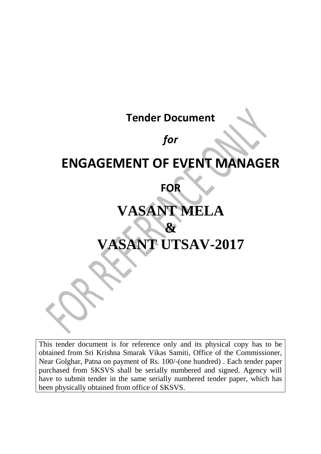# **Tender Document**

# *for*

# **ENGAGEMENT OF EVENT MANAGER**

# **FOR**

# **VASANT MELA & VASANT UTSAV-2017**

This tender document is for reference only and its physical copy has to be obtained from Sri Krishna Smarak Vikas Samiti, Office of the Commissioner, Near Golghar, Patna on payment of Rs. 100/-(one hundred) . Each tender paper purchased from SKSVS shall be serially numbered and signed. Agency will have to submit tender in the same serially numbered tender paper, which has been physically obtained from office of SKSVS.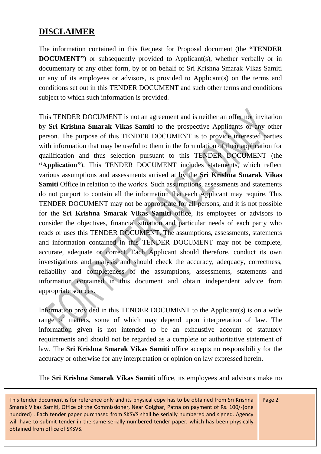## **DISCLAIMER**

The information contained in this Request for Proposal document (the **"TENDER DOCUMENT**") or subsequently provided to Applicant(s), whether verbally or in documentary or any other form, by or on behalf of Sri Krishna Smarak Vikas Samiti or any of its employees or advisors, is provided to Applicant(s) on the terms and conditions set out in this TENDER DOCUMENT and such other terms and conditions subject to which such information is provided.

This TENDER DOCUMENT is not an agreement and is neither an offer nor invitation by **Sri Krishna Smarak Vikas Samiti** to the prospective Applicants or any other person. The purpose of this TENDER DOCUMENT is to provide interested parties with information that may be useful to them in the formulation of their application for qualification and thus selection pursuant to this TENDER DOCUMENT (the **"Application"**). This TENDER DOCUMENT includes statements, which reflect various assumptions and assessments arrived at by the **Sri Krishna Smarak Vikas Samiti** Office in relation to the work/s. Such assumptions, assessments and statements do not purport to contain all the information that each Applicant may require. This TENDER DOCUMENT may not be appropriate for all persons, and it is not possible for the **Sri Krishna Smarak Vikas Samiti** office, its employees or advisors to consider the objectives, financial situation and particular needs of each party who reads or uses this TENDER DOCUMENT. The assumptions, assessments, statements and information contained in this TENDER DOCUMENT may not be complete, accurate, adequate or correct. Each Applicant should therefore, conduct its own investigations and analysis and should check the accuracy, adequacy, correctness, reliability and completeness of the assumptions, assessments, statements and information contained in this document and obtain independent advice from appropriate sources.

Information provided in this TENDER DOCUMENT to the Applicant(s) is on a wide range of matters, some of which may depend upon interpretation of law. The information given is not intended to be an exhaustive account of statutory requirements and should not be regarded as a complete or authoritative statement of law. The **Sri Krishna Smarak Vikas Samiti** office accepts no responsibility for the accuracy or otherwise for any interpretation or opinion on law expressed herein.

The **Sri Krishna Smarak Vikas Samiti** office, its employees and advisors make no

This tender document is for reference only and its physical copy has to be obtained from Sri Krishna Smarak Vikas Samiti, Office of the Commissioner, Near Golghar, Patna on payment of Rs. 100/-(one hundred) . Each tender paper purchased from SKSVS shall be serially numbered and signed. Agency will have to submit tender in the same serially numbered tender paper, which has been physically obtained from office of SKSVS.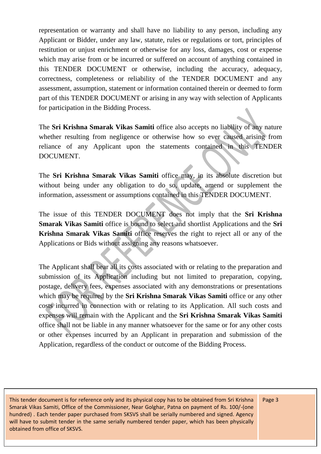representation or warranty and shall have no liability to any person, including any Applicant or Bidder, under any law, statute, rules or regulations or tort, principles of restitution or unjust enrichment or otherwise for any loss, damages, cost or expense which may arise from or be incurred or suffered on account of anything contained in this TENDER DOCUMENT or otherwise, including the accuracy, adequacy, correctness, completeness or reliability of the TENDER DOCUMENT and any assessment, assumption, statement or information contained therein or deemed to form part of this TENDER DOCUMENT or arising in any way with selection of Applicants for participation in the Bidding Process.

The **Sri Krishna Smarak Vikas Samiti** office also accepts no liability of any nature whether resulting from negligence or otherwise how so ever caused arising from reliance of any Applicant upon the statements contained in this TENDER DOCUMENT.

The **Sri Krishna Smarak Vikas Samiti** office may, in its absolute discretion but without being under any obligation to do so, update, amend or supplement the information, assessment or assumptions contained in this TENDER DOCUMENT.

The issue of this TENDER DOCUMENT does not imply that the **Sri Krishna Smarak Vikas Samiti** office is bound to select and shortlist Applications and the **Sri Krishna Smarak Vikas Samiti** office reserves the right to reject all or any of the Applications or Bids without assigning any reasons whatsoever.

The Applicant shall bear all its costs associated with or relating to the preparation and submission of its Application including but not limited to preparation, copying, postage, delivery fees, expenses associated with any demonstrations or presentations which may be required by the **Sri Krishna Smarak Vikas Samiti** office or any other costs incurred in connection with or relating to its Application. All such costs and expenses will remain with the Applicant and the **Sri Krishna Smarak Vikas Samiti** office shall not be liable in any manner whatsoever for the same or for any other costs or other expenses incurred by an Applicant in preparation and submission of the Application, regardless of the conduct or outcome of the Bidding Process.

This tender document is for reference only and its physical copy has to be obtained from Sri Krishna Smarak Vikas Samiti, Office of the Commissioner, Near Golghar, Patna on payment of Rs. 100/-(one hundred) . Each tender paper purchased from SKSVS shall be serially numbered and signed. Agency will have to submit tender in the same serially numbered tender paper, which has been physically obtained from office of SKSVS.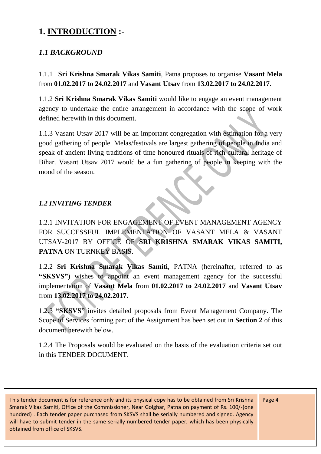## **1. INTRODUCTION :-**

#### *1.1 BACKGROUND*

1.1.1 **Sri Krishna Smarak Vikas Samiti**, Patna proposes to organise **Vasant Mela**  from **01.02.2017 to 24.02.2017** and **Vasant Utsav** from **13.02.2017 to 24.02.2017**.

1.1.2 **Sri Krishna Smarak Vikas Samiti** would like to engage an event management agency to undertake the entire arrangement in accordance with the scope of work defined herewith in this document.

1.1.3 Vasant Utsav 2017 will be an important congregation with estimation for a very good gathering of people. Melas/festivals are largest gathering of people in India and speak of ancient living traditions of time honoured rituals of rich cultural heritage of Bihar. Vasant Utsav 2017 would be a fun gathering of people in keeping with the mood of the season.

#### *1.2 INVITING TENDER*

1.2.1 INVITATION FOR ENGAGEMENT OF EVENT MANAGEMENT AGENCY FOR SUCCESSFUL IMPLEMENTATION OF VASANT MELA & VASANT UTSAV-2017 BY OFFICE OF **SRI KRISHNA SMARAK VIKAS SAMITI, PATNA** ON TURNKEY BASIS.

1.2.2 **Sri Krishna Smarak Vikas Samiti**, PATNA (hereinafter, referred to as "SKSVS") wishes to appoint an event management agency for the successful implementation of **Vasant Mela** from **01.02.2017 to 24.02.2017** and **Vasant Utsav**  from **13.02.2017 to 24.02.2017.**

1.2.3 **"SKSVS"** invites detailed proposals from Event Management Company. The Scope of Services forming part of the Assignment has been set out in **Section 2** of this document herewith below.

1.2.4 The Proposals would be evaluated on the basis of the evaluation criteria set out in this TENDER DOCUMENT.

This tender document is for reference only and its physical copy has to be obtained from Sri Krishna Smarak Vikas Samiti, Office of the Commissioner, Near Golghar, Patna on payment of Rs. 100/-(one hundred) . Each tender paper purchased from SKSVS shall be serially numbered and signed. Agency will have to submit tender in the same serially numbered tender paper, which has been physically obtained from office of SKSVS.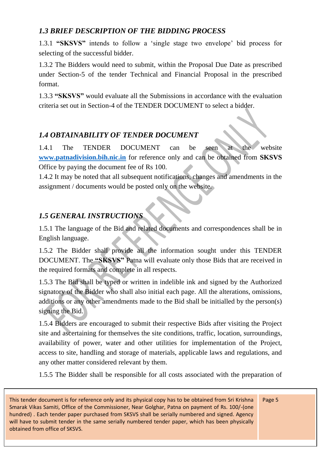#### *1.3 BRIEF DESCRIPTION OF THE BIDDING PROCESS*

1.3.1 **"SKSVS"** intends to follow a 'single stage two envelope' bid process for selecting of the successful bidder.

1.3.2 The Bidders would need to submit, within the Proposal Due Date as prescribed under Section-5 of the tender Technical and Financial Proposal in the prescribed format.

1.3.3 **"SKSVS"** would evaluate all the Submissions in accordance with the evaluation criteria set out in Section-4 of the TENDER DOCUMENT to select a bidder.

#### *1.4 OBTAINABILITY OF TENDER DOCUMENT*

1.4.1 The TENDER DOCUMENT can be seen at the website **[www.patnadivision.bih.nic.in](http://www.patnadivision.bih.nic.in/)** for reference only and can be obtained from **SKSVS** Office by paying the document fee of Rs 100.

1.4.2 It may be noted that all subsequent notifications, changes and amendments in the assignment / documents would be posted only on the website.

#### *1.5 GENERAL INSTRUCTIONS*

1.5.1 The language of the Bid and related documents and correspondences shall be in English language.

1.5.2 The Bidder shall provide all the information sought under this TENDER DOCUMENT. The **"SKSVS"** Patna will evaluate only those Bids that are received in the required formats and complete in all respects.

1.5.3 The Bid shall be typed or written in indelible ink and signed by the Authorized signatory of the Bidder who shall also initial each page. All the alterations, omissions, additions or any other amendments made to the Bid shall be initialled by the person(s) signing the Bid.

1.5.4 Bidders are encouraged to submit their respective Bids after visiting the Project site and ascertaining for themselves the site conditions, traffic, location, surroundings, availability of power, water and other utilities for implementation of the Project, access to site, handling and storage of materials, applicable laws and regulations, and any other matter considered relevant by them.

1.5.5 The Bidder shall be responsible for all costs associated with the preparation of

This tender document is for reference only and its physical copy has to be obtained from Sri Krishna Smarak Vikas Samiti, Office of the Commissioner, Near Golghar, Patna on payment of Rs. 100/-(one hundred) . Each tender paper purchased from SKSVS shall be serially numbered and signed. Agency will have to submit tender in the same serially numbered tender paper, which has been physically obtained from office of SKSVS.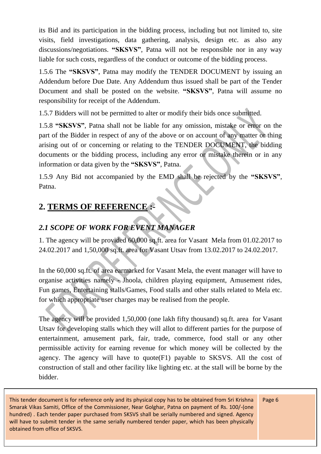its Bid and its participation in the bidding process, including but not limited to, site visits, field investigations, data gathering, analysis, design etc. as also any discussions/negotiations. **"SKSVS"**, Patna will not be responsible nor in any way liable for such costs, regardless of the conduct or outcome of the bidding process.

1.5.6 The **"SKSVS"**, Patna may modify the TENDER DOCUMENT by issuing an Addendum before Due Date. Any Addendum thus issued shall be part of the Tender Document and shall be posted on the website. **"SKSVS"**, Patna will assume no responsibility for receipt of the Addendum.

1.5.7 Bidders will not be permitted to alter or modify their bids once submitted.

1.5.8 **"SKSVS"**, Patna shall not be liable for any omission, mistake or error on the part of the Bidder in respect of any of the above or on account of any matter or thing arising out of or concerning or relating to the TENDER DOCUMENT, the bidding documents or the bidding process, including any error or mistake therein or in any information or data given by the **"SKSVS"**, Patna.

1.5.9 Any Bid not accompanied by the EMD shall be rejected by the **"SKSVS"**, Patna.

## **2. TERMS OF REFERENCE :-**

## *2.1 SCOPE OF WORK FOR EVENT MANAGER*

1. The agency will be provided 60,000 sq.ft. area for Vasant Mela from 01.02.2017 to 24.02.2017 and 1,50,000 sq.ft. area for Vasant Utsav from 13.02.2017 to 24.02.2017.

In the 60,000 sq.ft. of area earmarked for Vasant Mela, the event manager will have to organise activities namely - Jhoola, children playing equipment, Amusement rides, Fun games, Entertaining stalls/Games, Food stalls and other stalls related to Mela etc. for which appropriate user charges may be realised from the people.

The agency will be provided 1,50,000 (one lakh fifty thousand) sq.ft. area for Vasant Utsav for developing stalls which they will allot to different parties for the purpose of entertainment, amusement park, fair, trade, commerce, food stall or any other permissible activity for earning revenue for which money will be collected by the agency. The agency will have to quote(F1) payable to SKSVS. All the cost of construction of stall and other facility like lighting etc. at the stall will be borne by the bidder.

This tender document is for reference only and its physical copy has to be obtained from Sri Krishna Smarak Vikas Samiti, Office of the Commissioner, Near Golghar, Patna on payment of Rs. 100/-(one hundred) . Each tender paper purchased from SKSVS shall be serially numbered and signed. Agency will have to submit tender in the same serially numbered tender paper, which has been physically obtained from office of SKSVS.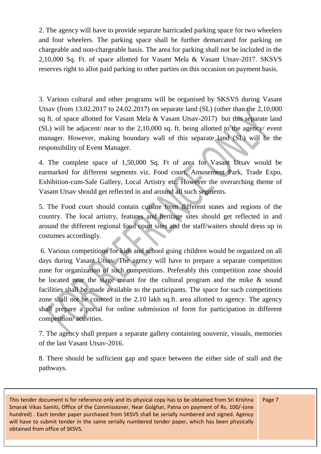2. The agency will have to provide separate barricaded parking space for two wheelers and four wheelers. The parking space shall be further demarcated for parking on chargeable and non-chargeable basis. The area for parking shall not be included in the 2,10,000 Sq. Ft. of space allotted for Vasant Mela & Vasant Utsav-2017. SKSVS reserves right to allot paid parking to other parties on this occasion on payment basis.

3. Various cultural and other programs will be organised by SKSVS during Vasant Utsav (from 13.02.2017 to 24.02.2017) on separate land (SL) (other than the 2,10,000 sq ft. of space allotted for Vasant Mela & Vasant Utsav-2017) but this separate land (SL) will be adjacent/ near to the 2,10,000 sq. ft. being allotted to the agency/ event manager. However, making boundary wall of this separate land (SL) will be the responsibility of Event Manager.

4. The complete space of 1,50,000 Sq. Ft of area for Vasant Utsav would be earmarked for different segments viz. Food court, Amusement Park, Trade Expo, Exhibition-cum-Sale Gallery, Local Artistry etc. However the overarching theme of Vasant Utsav should get reflected in and around all such segments.

5. The Food court should contain cuisine from different states and regions of the country. The local artistry, features and heritage sites should get reflected in and around the different regional food court sites and the staff/waiters should dress up in costumes accordingly.

6. Various competitions for kids and school going children would be organized on all days during Vasant Utsav. The agency will have to prepare a separate competition zone for organization of such competitions. Preferably this competition zone should be located near the stage meant for the cultural program and the mike & sound facilities shall be made available to the participants. The space for such competitions zone shall not be counted in the 2.10 lakh sq.ft. area allotted to agency. The agency shall prepare a portal for online submission of form for participation in different competition/ activities.

7. The agency shall prepare a separate gallery containing souvenir, visuals, memories of the last Vasant Utsav-2016.

8. There should be sufficient gap and space between the either side of stall and the pathways.

This tender document is for reference only and its physical copy has to be obtained from Sri Krishna Smarak Vikas Samiti, Office of the Commissioner, Near Golghar, Patna on payment of Rs. 100/-(one hundred) . Each tender paper purchased from SKSVS shall be serially numbered and signed. Agency will have to submit tender in the same serially numbered tender paper, which has been physically obtained from office of SKSVS.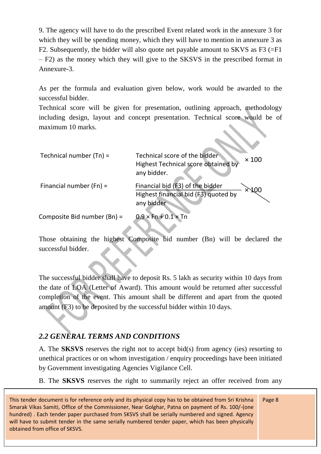9. The agency will have to do the prescribed Event related work in the annexure 3 for which they will be spending money, which they will have to mention in annexure 3 as F2. Subsequently, the bidder will also quote net payable amount to SKVS as F3 (=F1 – F2) as the money which they will give to the SKSVS in the prescribed format in Annexure-3.

As per the formula and evaluation given below, work would be awarded to the successful bidder.

Technical score will be given for presentation, outlining approach, methodology including design, layout and concept presentation. Technical score would be of maximum 10 marks.

| Technical number $(Tn)$ =   | Technical score of the bidder<br>$\times$ 100<br>Highest Technical score obtained by<br>any bidder. |
|-----------------------------|-----------------------------------------------------------------------------------------------------|
| Financial number $(Fn)$ =   | Financial bid (F3) of the bidder<br>Highest financial bid (F3) quoted by<br>any bidder              |
| Composite Bid number (Bn) = | $0.9 \times$ Fn + 0.1 $\times$ Tn                                                                   |

Those obtaining the highest Composite bid number (Bn) will be declared the successful bidder.

The successful bidder shall have to deposit Rs. 5 lakh as security within 10 days from the date of LOA (Letter of Award). This amount would be returned after successful completion of the event. This amount shall be different and apart from the quoted amount (F3) to be deposited by the successful bidder within 10 days.

#### *2.2 GENERAL TERMS AND CONDITIONS*

A. The **SKSVS** reserves the right not to accept bid(s) from agency (ies) resorting to unethical practices or on whom investigation / enquiry proceedings have been initiated by Government investigating Agencies Vigilance Cell.

B. The **SKSVS** reserves the right to summarily reject an offer received from any

This tender document is for reference only and its physical copy has to be obtained from Sri Krishna Smarak Vikas Samiti, Office of the Commissioner, Near Golghar, Patna on payment of Rs. 100/-(one hundred) . Each tender paper purchased from SKSVS shall be serially numbered and signed. Agency will have to submit tender in the same serially numbered tender paper, which has been physically obtained from office of SKSVS.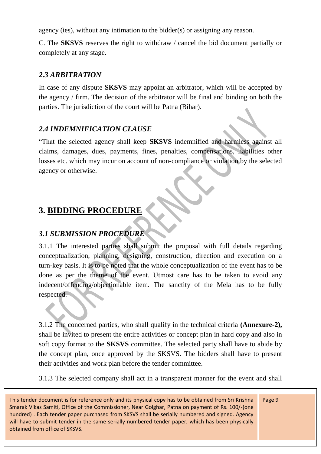agency (ies), without any intimation to the bidder(s) or assigning any reason.

C. The **SKSVS** reserves the right to withdraw / cancel the bid document partially or completely at any stage.

#### *2.3 ARBITRATION*

In case of any dispute **SKSVS** may appoint an arbitrator, which will be accepted by the agency / firm. The decision of the arbitrator will be final and binding on both the parties. The jurisdiction of the court will be Patna (Bihar).

#### *2.4 INDEMNIFICATION CLAUSE*

"That the selected agency shall keep **SKSVS** indemnified and harmless against all claims, damages, dues, payments, fines, penalties, compensations, liabilities other losses etc. which may incur on account of non-compliance or violation by the selected agency or otherwise.

## **3. BIDDING PROCEDURE**

#### *3.1 SUBMISSION PROCEDURE*

3.1.1 The interested parties shall submit the proposal with full details regarding conceptualization, planning, designing, construction, direction and execution on a turn-key basis. It is to be noted that the whole conceptualization of the event has to be done as per the theme of the event. Utmost care has to be taken to avoid any indecent/offending/objectionable item. The sanctity of the Mela has to be fully respected.

3.1.2 The concerned parties, who shall qualify in the technical criteria **(Annexure-2),** shall be invited to present the entire activities or concept plan in hard copy and also in soft copy format to the **SKSVS** committee. The selected party shall have to abide by the concept plan, once approved by the SKSVS. The bidders shall have to present their activities and work plan before the tender committee.

3.1.3 The selected company shall act in a transparent manner for the event and shall

This tender document is for reference only and its physical copy has to be obtained from Sri Krishna Smarak Vikas Samiti, Office of the Commissioner, Near Golghar, Patna on payment of Rs. 100/-(one hundred) . Each tender paper purchased from SKSVS shall be serially numbered and signed. Agency will have to submit tender in the same serially numbered tender paper, which has been physically obtained from office of SKSVS.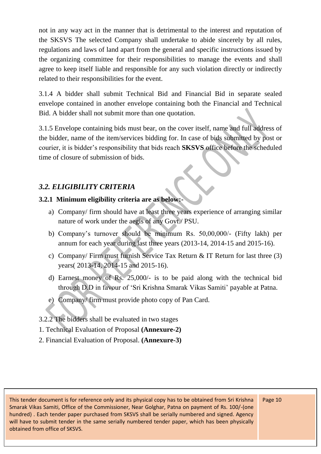not in any way act in the manner that is detrimental to the interest and reputation of the SKSVS The selected Company shall undertake to abide sincerely by all rules, regulations and laws of land apart from the general and specific instructions issued by the organizing committee for their responsibilities to manage the events and shall agree to keep itself liable and responsible for any such violation directly or indirectly related to their responsibilities for the event.

3.1.4 A bidder shall submit Technical Bid and Financial Bid in separate sealed envelope contained in another envelope containing both the Financial and Technical Bid. A bidder shall not submit more than one quotation.

3.1.5 Envelope containing bids must bear, on the cover itself, name and full address of the bidder, name of the item/services bidding for. In case of bids submitted by post or courier, it is bidder's responsibility that bids reach **SKSVS** office before the scheduled time of closure of submission of bids.

#### *3.2. ELIGIBILITY CRITERIA*

#### **3.2.1 Minimum eligibility criteria are as below:-**

- a) Company/ firm should have at least three years experience of arranging similar nature of work under the aegis of any Govt./ PSU.
- b) Company's turnover should be minimum Rs. 50,00,000/- (Fifty lakh) per annum for each year during last three years (2013-14, 2014-15 and 2015-16).
- c) Company/ Firm must furnish Service Tax Return & IT Return for last three (3) years( 2013-14, 2014-15 and 2015-16).
- d) Earnest money of Rs. 25,000/- is to be paid along with the technical bid through D.D in favour of 'Sri Krishna Smarak Vikas Samiti' payable at Patna.
- e) Company/ firm must provide photo copy of Pan Card.
- 3.2.2 The bidders shall be evaluated in two stages
- 1. Technical Evaluation of Proposal **(Annexure-2)**
- 2. Financial Evaluation of Proposal. **(Annexure-3)**

This tender document is for reference only and its physical copy has to be obtained from Sri Krishna Smarak Vikas Samiti, Office of the Commissioner, Near Golghar, Patna on payment of Rs. 100/-(one hundred) . Each tender paper purchased from SKSVS shall be serially numbered and signed. Agency will have to submit tender in the same serially numbered tender paper, which has been physically obtained from office of SKSVS.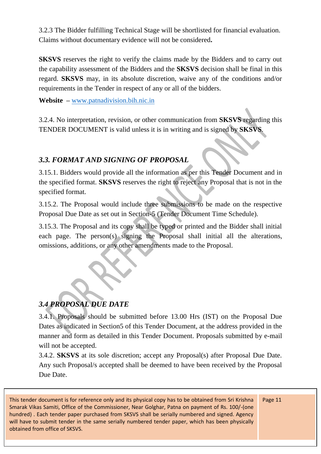3.2.3 The Bidder fulfilling Technical Stage will be shortlisted for financial evaluation. Claims without documentary evidence will not be considered**.**

**SKSVS** reserves the right to verify the claims made by the Bidders and to carry out the capability assessment of the Bidders and the **SKSVS** decision shall be final in this regard. **SKSVS** may, in its absolute discretion, waive any of the conditions and/or requirements in the Tender in respect of any or all of the bidders.

**Website –** [www.patnadivision.bih.nic.in](http://www.patnadivision.bih.nic.in/)

3.2.4. No interpretation, revision, or other communication from **SKSVS** regarding this TENDER DOCUMENT is valid unless it is in writing and is signed by **SKSVS**.

#### *3.3. FORMAT AND SIGNING OF PROPOSAL*

3.15.1. Bidders would provide all the information as per this Tender Document and in the specified format. **SKSVS** reserves the right to reject any Proposal that is not in the specified format.

3.15.2. The Proposal would include three submissions to be made on the respective Proposal Due Date as set out in Section-5 (Tender Document Time Schedule).

3.15.3. The Proposal and its copy shall be typed or printed and the Bidder shall initial each page. The person(s) signing the Proposal shall initial all the alterations, omissions, additions, or any other amendments made to the Proposal.

## *3.4 PROPOSAL DUE DATE*

3.4.1. Proposals should be submitted before 13.00 Hrs (IST) on the Proposal Due Dates as indicated in Section5 of this Tender Document, at the address provided in the manner and form as detailed in this Tender Document. Proposals submitted by e-mail will not be accepted.

3.4.2. **SKSVS** at its sole discretion; accept any Proposal(s) after Proposal Due Date. Any such Proposal/s accepted shall be deemed to have been received by the Proposal Due Date.

This tender document is for reference only and its physical copy has to be obtained from Sri Krishna Smarak Vikas Samiti, Office of the Commissioner, Near Golghar, Patna on payment of Rs. 100/-(one hundred) . Each tender paper purchased from SKSVS shall be serially numbered and signed. Agency will have to submit tender in the same serially numbered tender paper, which has been physically obtained from office of SKSVS.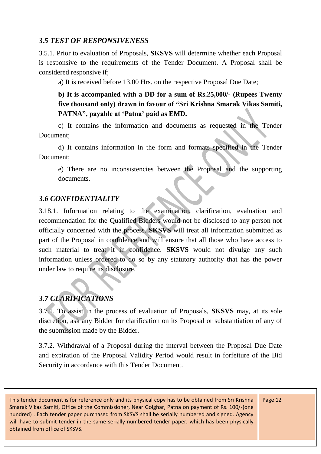#### *3.5 TEST OF RESPONSIVENESS*

3.5.1. Prior to evaluation of Proposals, **SKSVS** will determine whether each Proposal is responsive to the requirements of the Tender Document. A Proposal shall be considered responsive if;

a) It is received before 13.00 Hrs. on the respective Proposal Due Date;

#### **b) It is accompanied with a DD for a sum of Rs.25,000/- (Rupees Twenty five thousand only) drawn in favour of "Sri Krishna Smarak Vikas Samiti,**  PATNA", payable at 'Patna' paid as **EMD**.

c) It contains the information and documents as requested in the Tender Document;

d) It contains information in the form and formats specified in the Tender Document;

e) There are no inconsistencies between the Proposal and the supporting documents.

#### *3.6 CONFIDENTIALITY*

3.18.1. Information relating to the examination, clarification, evaluation and recommendation for the Qualified Bidders would not be disclosed to any person not officially concerned with the process. **SKSVS** will treat all information submitted as part of the Proposal in confidence and will ensure that all those who have access to such material to treat it in confidence. **SKSVS** would not divulge any such information unless ordered to do so by any statutory authority that has the power under law to require its disclosure.

#### *3.7 CLARIFICATIONS*

3.7.1. To assist in the process of evaluation of Proposals, **SKSVS** may, at its sole discretion, ask any Bidder for clarification on its Proposal or substantiation of any of the submission made by the Bidder.

3.7.2. Withdrawal of a Proposal during the interval between the Proposal Due Date and expiration of the Proposal Validity Period would result in forfeiture of the Bid Security in accordance with this Tender Document.

This tender document is for reference only and its physical copy has to be obtained from Sri Krishna Smarak Vikas Samiti, Office of the Commissioner, Near Golghar, Patna on payment of Rs. 100/-(one hundred) . Each tender paper purchased from SKSVS shall be serially numbered and signed. Agency will have to submit tender in the same serially numbered tender paper, which has been physically obtained from office of SKSVS.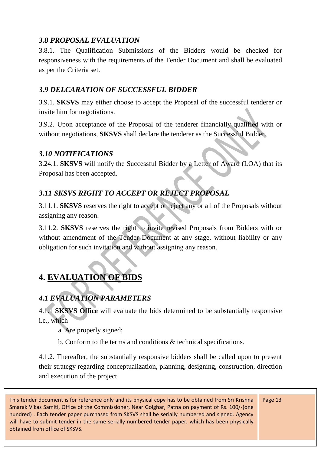#### *3.8 PROPOSAL EVALUATION*

3.8.1. The Qualification Submissions of the Bidders would be checked for responsiveness with the requirements of the Tender Document and shall be evaluated as per the Criteria set.

#### *3.9 DELCARATION OF SUCCESSFUL BIDDER*

3.9.1. **SKSVS** may either choose to accept the Proposal of the successful tenderer or invite him for negotiations.

3.9.2. Upon acceptance of the Proposal of the tenderer financially qualified with or without negotiations, **SKSVS** shall declare the tenderer as the Successful Bidder.

#### *3.10 NOTIFICATIONS*

3.24.1. **SKSVS** will notify the Successful Bidder by a Letter of Award (LOA) that its Proposal has been accepted.

#### *3.11 SKSVS RIGHT TO ACCEPT OR REJECT PROPOSAL*

3.11.1. **SKSVS** reserves the right to accept or reject any or all of the Proposals without assigning any reason.

3.11.2. **SKSVS** reserves the right to invite revised Proposals from Bidders with or without amendment of the Tender Document at any stage, without liability or any obligation for such invitation and without assigning any reason.

## **4. EVALUATION OF BIDS**

## *4.1 EVALUATION PARAMETERS*

4.1.1 **SKSVS Office** will evaluate the bids determined to be substantially responsive i.e., which

a. Are properly signed;

b. Conform to the terms and conditions & technical specifications.

4.1.2. Thereafter, the substantially responsive bidders shall be called upon to present their strategy regarding conceptualization, planning, designing, construction, direction and execution of the project.

This tender document is for reference only and its physical copy has to be obtained from Sri Krishna Smarak Vikas Samiti, Office of the Commissioner, Near Golghar, Patna on payment of Rs. 100/-(one hundred) . Each tender paper purchased from SKSVS shall be serially numbered and signed. Agency will have to submit tender in the same serially numbered tender paper, which has been physically obtained from office of SKSVS.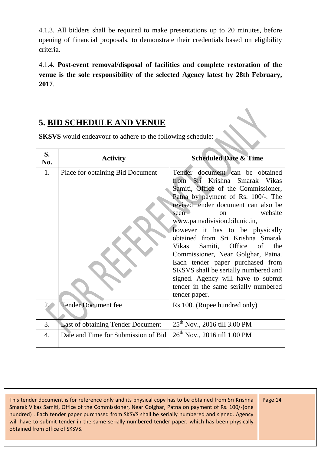4.1.3. All bidders shall be required to make presentations up to 20 minutes, before opening of financial proposals, to demonstrate their credentials based on eligibility criteria.

4.1.4. **Post-event removal/disposal of facilities and complete restoration of the venue is the sole responsibility of the selected Agency latest by 28th February, 2017**.

## **5. BID SCHEDULE AND VENUE**

**SKSVS** would endeavour to adhere to the following schedule:

| S.<br>No. | <b>Activity</b>                          | <b>Scheduled Date &amp; Time</b>                                                                                                                                                                                                                                                                                                                                                                                                                                                                                                                                                  |
|-----------|------------------------------------------|-----------------------------------------------------------------------------------------------------------------------------------------------------------------------------------------------------------------------------------------------------------------------------------------------------------------------------------------------------------------------------------------------------------------------------------------------------------------------------------------------------------------------------------------------------------------------------------|
| 1.        | Place for obtaining Bid Document         | Tender document can be obtained<br>from Sri Krishna Smarak Vikas<br>Samiti, Office of the Commissioner,<br>Patna by payment of Rs. 100/-. The<br>revised tender document can also be<br>website<br>seen<br>$\alpha$<br>www.patnadivision.bih.nic.in,<br>however it has to be physically<br>obtained from Sri Krishna Smarak<br>Samiti, Office of<br>Vikas<br>the<br>Commissioner, Near Golghar, Patna.<br>Each tender paper purchased from<br>SKSVS shall be serially numbered and<br>signed. Agency will have to submit<br>tender in the same serially numbered<br>tender paper. |
| 2.        | <b>Tender Document fee</b>               | Rs 100. (Rupee hundred only)                                                                                                                                                                                                                                                                                                                                                                                                                                                                                                                                                      |
| 3.        | <b>Last of obtaining Tender Document</b> | 25 <sup>th</sup> Nov., 2016 till 3.00 PM                                                                                                                                                                                                                                                                                                                                                                                                                                                                                                                                          |
| 4.        | Date and Time for Submission of Bid      | 26 <sup>th</sup> Nov., 2016 till 1.00 PM                                                                                                                                                                                                                                                                                                                                                                                                                                                                                                                                          |

This tender document is for reference only and its physical copy has to be obtained from Sri Krishna Smarak Vikas Samiti, Office of the Commissioner, Near Golghar, Patna on payment of Rs. 100/-(one hundred) . Each tender paper purchased from SKSVS shall be serially numbered and signed. Agency will have to submit tender in the same serially numbered tender paper, which has been physically obtained from office of SKSVS.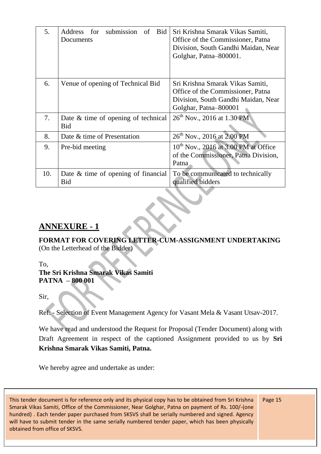| 5.  | Address<br>submission<br><b>Bid</b><br>for<br>of<br>Documents | Sri Krishna Smarak Vikas Samiti,<br>Office of the Commissioner, Patna<br>Division, South Gandhi Maidan, Near<br>Golghar, Patna–800001. |  |  |
|-----|---------------------------------------------------------------|----------------------------------------------------------------------------------------------------------------------------------------|--|--|
| 6.  | Venue of opening of Technical Bid                             | Sri Krishna Smarak Vikas Samiti,<br>Office of the Commissioner, Patna<br>Division, South Gandhi Maidan, Near<br>Golghar, Patna-800001  |  |  |
| 7.  | Date $\&$ time of opening of technical<br><b>Bid</b>          | 26 <sup>th</sup> Nov., 2016 at 1.30 PM                                                                                                 |  |  |
| 8.  | Date & time of Presentation                                   | 26 <sup>th</sup> Nov., 2016 at 2.00 PM                                                                                                 |  |  |
| 9.  | Pre-bid meeting                                               | $10^{th}$ Nov., 2016 at 3.00 PM at Office<br>of the Commissioner, Patna Division,<br>Patna                                             |  |  |
| 10. | Date $\&$ time of opening of financial<br><b>Bid</b>          | To be communicated to technically<br>qualified bidders                                                                                 |  |  |

#### **ANNEXURE - 1**

#### **FORMAT FOR COVERING LETTER-CUM-ASSIGNMENT UNDERTAKING**  (On the Letterhead of the Bidder)

#### To, **The Sri Krishna Smarak Vikas Samiti PATNA – 800 001**

Sir,

Ref: - Selection of Event Management Agency for Vasant Mela & Vasant Utsav-2017.

We have read and understood the Request for Proposal (Tender Document) along with Draft Agreement in respect of the captioned Assignment provided to us by **Sri Krishna Smarak Vikas Samiti, Patna.**

We hereby agree and undertake as under:

This tender document is for reference only and its physical copy has to be obtained from Sri Krishna Smarak Vikas Samiti, Office of the Commissioner, Near Golghar, Patna on payment of Rs. 100/-(one hundred) . Each tender paper purchased from SKSVS shall be serially numbered and signed. Agency will have to submit tender in the same serially numbered tender paper, which has been physically obtained from office of SKSVS.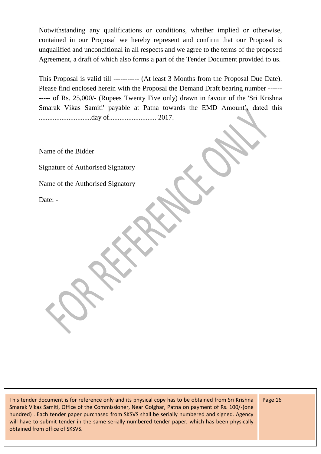Notwithstanding any qualifications or conditions, whether implied or otherwise, contained in our Proposal we hereby represent and confirm that our Proposal is unqualified and unconditional in all respects and we agree to the terms of the proposed Agreement, a draft of which also forms a part of the Tender Document provided to us.

This Proposal is valid till ----------- (At least 3 Months from the Proposal Due Date). Please find enclosed herein with the Proposal the Demand Draft bearing number ------ ----- of Rs. 25,000/- (Rupees Twenty Five only) drawn in favour of the 'Sri Krishna Smarak Vikas Samiti' payable at Patna towards the EMD Amount', dated this ..............................day of........................... 2017.

Name of the Bidder

Signature of Authorised Signatory

Name of the Authorised Signatory

Date: -

This tender document is for reference only and its physical copy has to be obtained from Sri Krishna Smarak Vikas Samiti, Office of the Commissioner, Near Golghar, Patna on payment of Rs. 100/-(one hundred) . Each tender paper purchased from SKSVS shall be serially numbered and signed. Agency will have to submit tender in the same serially numbered tender paper, which has been physically obtained from office of SKSVS.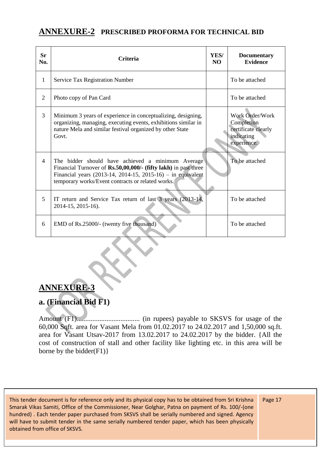#### **ANNEXURE-2 PRESCRIBED PROFORMA FOR TECHNICAL BID**

| <b>Sr</b><br>No. | <b>Criteria</b>                                                                                                                                                                                                                          | YES/<br>NO. | <b>Documentary</b><br><b>Evidence</b>                                             |
|------------------|------------------------------------------------------------------------------------------------------------------------------------------------------------------------------------------------------------------------------------------|-------------|-----------------------------------------------------------------------------------|
| 1                | <b>Service Tax Registration Number</b>                                                                                                                                                                                                   |             | To be attached                                                                    |
| $\overline{2}$   | Photo copy of Pan Card                                                                                                                                                                                                                   |             | To be attached                                                                    |
| 3                | Minimum 3 years of experience in conceptualizing, designing,<br>organizing, managing, executing events, exhibitions similar in<br>nature Mela and similar festival organized by other State<br>Govt.                                     |             | Work Order/Work<br>Completion<br>certificate clearly<br>indicating<br>experience. |
| $\overline{4}$   | The bidder should have achieved a minimum Average<br>Financial Turnover of Rs.50,00,000/- (fifty lakh) in past three<br>Financial years (2013-14, 2014-15, 2015-16) - in equivalent<br>temporary works/Event contracts or related works. |             | To be attached                                                                    |
| 5                | IT return and Service Tax return of last 3 years (2013-14,<br>2014-15, 2015-16).                                                                                                                                                         |             | To be attached                                                                    |
| 6                | EMD of Rs.25000/- (twenty five thousand)                                                                                                                                                                                                 |             | To be attached                                                                    |

## **ANNEXURE-3**

## **a. (Financial Bid F1)**

Amount (F1).................................... (in rupees) payable to SKSVS for usage of the 60,000 Sqft. area for Vasant Mela from 01.02.2017 to 24.02.2017 and 1,50,000 sq.ft. area for Vasant Utsav-2017 from 13.02.2017 to 24.02.2017 by the bidder. {All the cost of construction of stall and other facility like lighting etc. in this area will be borne by the bidder $(F1)$ }

This tender document is for reference only and its physical copy has to be obtained from Sri Krishna Smarak Vikas Samiti, Office of the Commissioner, Near Golghar, Patna on payment of Rs. 100/-(one hundred) . Each tender paper purchased from SKSVS shall be serially numbered and signed. Agency will have to submit tender in the same serially numbered tender paper, which has been physically obtained from office of SKSVS.

 $\propto$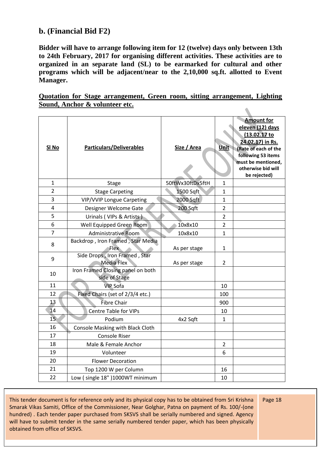#### **b. (Financial Bid F2)**

**Bidder will have to arrange following item for 12 (twelve) days only between 13th to 24th February, 2017 for organising different activities. These activities are to organized in an separate land (SL) to be earmarked for cultural and other programs which will be adjacent/near to the 2,10,000 sq.ft. allotted to Event Manager.**

**Quotation for Stage arrangement, Green room, sitting arrangement, Lighting Sound, Anchor & volunteer etc.**  $\blacksquare$ 

| SI <sub>No</sub> | <b>Particulars/Deliverables</b>                    | Size / Area      | Unit           | <b>Amount for</b><br>eleven (12) days<br>(13.02.17 to<br>24.02.17) in Rs.<br>(Rate of each of the<br>following 53 items<br>must be mentioned,<br>otherwise bid will<br>be rejected) |
|------------------|----------------------------------------------------|------------------|----------------|-------------------------------------------------------------------------------------------------------------------------------------------------------------------------------------|
| 1                | <b>Stage</b>                                       | 50ftWx30ftDx5ftH | 1              |                                                                                                                                                                                     |
| $\overline{2}$   | <b>Stage Carpeting</b>                             | 1500 Sqft        | $\mathbf{1}$   |                                                                                                                                                                                     |
| 3                | <b>VIP/VVIP Longue Carpeting</b>                   | 2000 Sqft        | 1              |                                                                                                                                                                                     |
| 4                | Designer Welcome Gate                              | 200 Sqft         | $\overline{2}$ |                                                                                                                                                                                     |
| 5                | Urinals (VIPs & Artists)                           |                  | $\overline{2}$ |                                                                                                                                                                                     |
| 6                | Well Equipped Green Room                           | 10x8x10          | $\overline{2}$ |                                                                                                                                                                                     |
| 7                | <b>Administrative Room</b>                         | 10x8x10          | $\mathbf{1}$   |                                                                                                                                                                                     |
| 8                | Backdrop, Iron Framed, Star Media<br>Flex          | As per stage     | 1              |                                                                                                                                                                                     |
| 9                | Side Drops, Iron Framed, Star<br><b>Media Flex</b> | As per stage     | $\overline{2}$ |                                                                                                                                                                                     |
| 10               | Iron Framed Closing panel on both<br>side of Stage |                  |                |                                                                                                                                                                                     |
| 11               | <b>VIP Sofa</b>                                    |                  | 10             |                                                                                                                                                                                     |
| 12               | Fixed Chairs (set of 2/3/4 etc.)                   |                  | 100            |                                                                                                                                                                                     |
| 13               | <b>Fibre Chair</b>                                 |                  | 900            |                                                                                                                                                                                     |
| 14               | <b>Centre Table for VIPs</b>                       |                  | 10             |                                                                                                                                                                                     |
| 15 <sub>1</sub>  | Podium                                             | 4x2 Sqft         | 1              |                                                                                                                                                                                     |
| 16               | Console Masking with Black Cloth                   |                  |                |                                                                                                                                                                                     |
| 17               | <b>Console Riser</b>                               |                  |                |                                                                                                                                                                                     |
| 18               | Male & Female Anchor                               |                  | $\overline{2}$ |                                                                                                                                                                                     |
| 19               | Volunteer                                          |                  | 6              |                                                                                                                                                                                     |
| 20               | <b>Flower Decoration</b>                           |                  |                |                                                                                                                                                                                     |
| 21               | Top 1200 W per Column                              |                  | 16             |                                                                                                                                                                                     |
| 22               | Low (single 18")1000WT minimum                     |                  | 10             |                                                                                                                                                                                     |

This tender document is for reference only and its physical copy has to be obtained from Sri Krishna Smarak Vikas Samiti, Office of the Commissioner, Near Golghar, Patna on payment of Rs. 100/-(one hundred) . Each tender paper purchased from SKSVS shall be serially numbered and signed. Agency will have to submit tender in the same serially numbered tender paper, which has been physically obtained from office of SKSVS.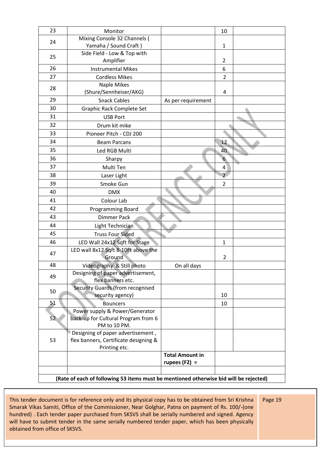| 23 | Monitor                                                                               |                        | 10             |  |
|----|---------------------------------------------------------------------------------------|------------------------|----------------|--|
| 24 | Mixing Console 32 Channels (                                                          |                        |                |  |
|    | Yamaha / Sound Craft)                                                                 |                        | 1              |  |
| 25 | Side Field - Low & Top with                                                           |                        |                |  |
|    | Amplifier                                                                             |                        | $\overline{2}$ |  |
| 26 | <b>Instrumental Mikes</b>                                                             |                        | 6              |  |
| 27 | <b>Cordless Mikes</b>                                                                 |                        | $\overline{2}$ |  |
| 28 | <b>Naple Mikes</b>                                                                    |                        |                |  |
|    | (Shure/Sennheiser/AKG)                                                                |                        | 4              |  |
| 29 | <b>Snack Cables</b>                                                                   | As per requirement     |                |  |
| 30 | Graphic Rack Complete Set                                                             |                        |                |  |
| 31 | <b>USB Port</b>                                                                       |                        |                |  |
| 32 | Drum kit mike                                                                         |                        |                |  |
| 33 | Pioneer Pitch - CDJ 200                                                               |                        |                |  |
| 34 | <b>Beam Parcans</b>                                                                   |                        | 12             |  |
| 35 | Led RGB Multi                                                                         |                        | 40             |  |
| 36 | Sharpy                                                                                |                        | 6 <sup>°</sup> |  |
| 37 | Multi Ten                                                                             |                        | 4              |  |
| 38 | Laser Light                                                                           |                        | $\overline{2}$ |  |
| 39 | Smoke Gun                                                                             |                        | $\mathbf 2$    |  |
| 40 | <b>DMX</b>                                                                            |                        |                |  |
| 41 | Colour Lab                                                                            |                        |                |  |
| 42 | Programming Board                                                                     |                        |                |  |
| 43 | <b>Dimmer Pack</b>                                                                    |                        |                |  |
| 44 | Light Technician                                                                      |                        |                |  |
| 45 | <b>Truss Four Sided</b>                                                               |                        |                |  |
| 46 | LED Wall 24x12 Sqft for Stage                                                         |                        | $\mathbf{1}$   |  |
|    | LED wall 8x12 Sqft 8-10Ft above the                                                   |                        |                |  |
| 47 | Ground                                                                                |                        | $\overline{2}$ |  |
| 48 | Videography & Still photo                                                             | On all davs            |                |  |
| 49 | Designing of paper advertisement,                                                     |                        |                |  |
|    | flex banners etc.                                                                     |                        |                |  |
| 50 | Security Guards (from recognised                                                      |                        |                |  |
|    | security agency)                                                                      |                        | 10             |  |
| 51 | <b>Bouncers</b>                                                                       |                        | 10             |  |
|    | Power supply & Power/Generator                                                        |                        |                |  |
| 52 | back-up for Cultural Program from 6<br>PM to 10 PM.                                   |                        |                |  |
|    | Designing of paper advertisement,                                                     |                        |                |  |
| 53 | flex banners, Certificate designing &                                                 |                        |                |  |
|    | Printing etc.                                                                         |                        |                |  |
|    |                                                                                       | <b>Total Amount in</b> |                |  |
|    |                                                                                       | rupees $(F2) =$        |                |  |
|    |                                                                                       |                        |                |  |
|    | (Rate of each of following 53 items must be mentioned otherwise bid will be rejected) |                        |                |  |

This tender document is for reference only and its physical copy has to be obtained from Sri Krishna Smarak Vikas Samiti, Office of the Commissioner, Near Golghar, Patna on payment of Rs. 100/-(one hundred) . Each tender paper purchased from SKSVS shall be serially numbered and signed. Agency will have to submit tender in the same serially numbered tender paper, which has been physically obtained from office of SKSVS.